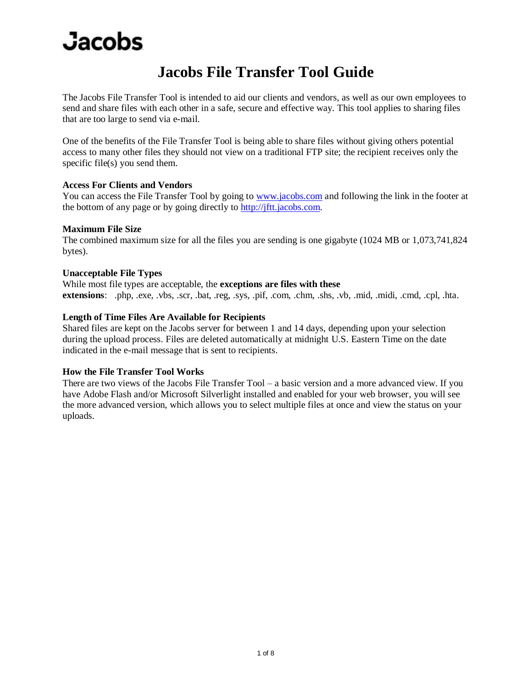### **Jacobs File Transfer Tool Guide**

The Jacobs File Transfer Tool is intended to aid our clients and vendors, as well as our own employees to send and share files with each other in a safe, secure and effective way. This tool applies to sharing files that are too large to send via e-mail.

One of the benefits of the File Transfer Tool is being able to share files without giving others potential access to many other files they should not view on a traditional FTP site; the recipient receives only the specific file(s) you send them.

#### **Access For Clients and Vendors**

You can access the File Transfer Tool by going to [www.jacobs.com](http://www.jacobs.com/) and following the link in the footer at the bottom of any page or by going directly to [http://jftt.jacobs.com.](http://jftt.jacobs.com/)

#### **Maximum File Size**

The combined maximum size for all the files you are sending is one gigabyte (1024 MB or 1,073,741,824 bytes).

#### **Unacceptable File Types**

While most file types are acceptable, the **exceptions are files with these** 

**extensions**: .php, .exe, .vbs, .scr, .bat, .reg, .sys, .pif, .com, .chm, .shs, .vb, .mid, .midi, .cmd, .cpl, .hta.

#### **Length of Time Files Are Available for Recipients**

Shared files are kept on the Jacobs server for between 1 and 14 days, depending upon your selection during the upload process. Files are deleted automatically at midnight U.S. Eastern Time on the date indicated in the e-mail message that is sent to recipients.

#### **How the File Transfer Tool Works**

There are two views of the Jacobs File Transfer Tool – a basic version and a more advanced view. If you have Adobe Flash and/or Microsoft Silverlight installed and enabled for your web browser, you will see the more advanced version, which allows you to select multiple files at once and view the status on your uploads.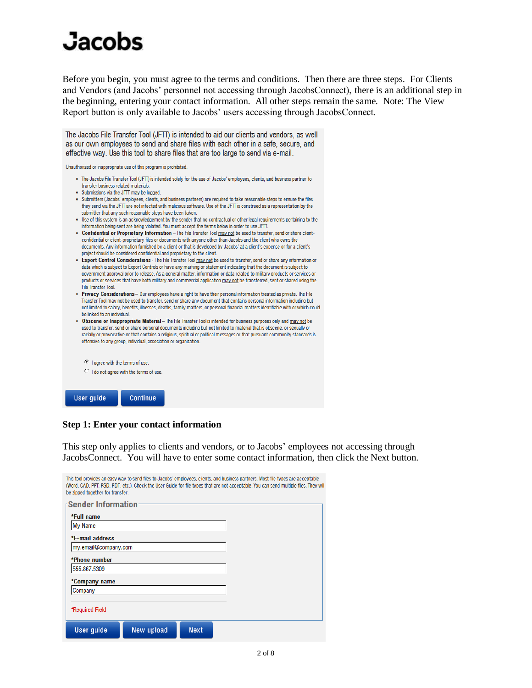Before you begin, you must agree to the terms and conditions. Then there are three steps. For Clients and Vendors (and Jacobs' personnel not accessing through JacobsConnect), there is an additional step in the beginning, entering your contact information. All other steps remain the same. Note: The View Report button is only available to Jacobs' users accessing through JacobsConnect.

The Jacobs File Transfer Tool (JFTT) is intended to aid our clients and vendors, as well as our own employees to send and share files with each other in a safe, secure, and effective way. Use this tool to share files that are too large to send via e-mail.

Unauthorized or inappropriate use of this program is prohibited.

- . The Jacobs File Transfer Tool (JFTT) is intended solely for the use of Jacobs' employees, clients, and business partner to transfer business related materials.
- . Submissions via the JFTT may be logged.
- · Submitters (Jacobs' employees, clients, and business partners) are required to take reasonable steps to ensure the files they send via the JFTT are not infected with malicious software. Use of the JFTT is construed as a representation by the submitter that any such reasonable steps have been taken.
- . Use of this system is an acknowledgement by the sender that no contractual or other legal requirements pertaining to the information being sent are being violated. You must accept the terms below in order to use JFIT.
- . Confidential or Proprietary Information The File Transfer Tool may not be used to transfer, send or share clientconfidential or client-proprietary files or documents with anyone other than Jacobs and the client who owns the documents. Any information furnished by a client or that is developed by Jacobs' at a client's expense or for a client's project should be considered confidential and proprietary to the client.
- . Export Control Considerations The File Transfer Tool may not be used to transfer, send or share any information or data which is subject to Export Controls or have any marking or statement indicating that the document is subject to government approval prior to release. As a general matter, information or data related to military products or services or products or services that have both military and commercial application may not be transferred, sent or shared using the File Transfer Tool.
- . Privacy Considerations Our employees have a right to have their personal information treated as private. The File Transfer Tool may not be used to transfer, send or share any document that contains personal information including but not limited to salary, benefits, illnesses, deaths, family matters, or personal financial matters identifiable with or which could be linked to an individual.
- . Obscene or Inappropriate Material The File Transfer Tool is intended for business purposes only and may not be used to transfer, send or share personal documents including but not limited to material that is obscene, or sexually or racially or provocative or that contains a religious, spiritual or political messages or that pursuant community standards is offensive to any group, individual, association or organization.



#### **Step 1: Enter your contact information**

This step only applies to clients and vendors, or to Jacobs' employees not accessing through JacobsConnect. You will have to enter some contact information, then click the Next button.

| be zipped together for transfer. |            |             | This tool provides an easy way to send files to Jacobs' employees, clients, and business partners. Most file types are acceptable<br>(Word, CAD, PPT, PSD, PDF, etc.). Check the User Guide for file types that are not acceptable. You can send multiple files. They will |
|----------------------------------|------------|-------------|----------------------------------------------------------------------------------------------------------------------------------------------------------------------------------------------------------------------------------------------------------------------------|
| <b>Sender Information</b>        |            |             |                                                                                                                                                                                                                                                                            |
| *Full name<br><b>My Name</b>     |            |             |                                                                                                                                                                                                                                                                            |
| *E-mail address                  |            |             |                                                                                                                                                                                                                                                                            |
| my.email@company.com             |            |             |                                                                                                                                                                                                                                                                            |
| *Phone number                    |            |             |                                                                                                                                                                                                                                                                            |
| 555.867.5309                     |            |             |                                                                                                                                                                                                                                                                            |
| *Company name                    |            |             |                                                                                                                                                                                                                                                                            |
| Company                          |            |             |                                                                                                                                                                                                                                                                            |
| *Required Field                  |            |             |                                                                                                                                                                                                                                                                            |
| <b>User quide</b>                | New upload | <b>Next</b> |                                                                                                                                                                                                                                                                            |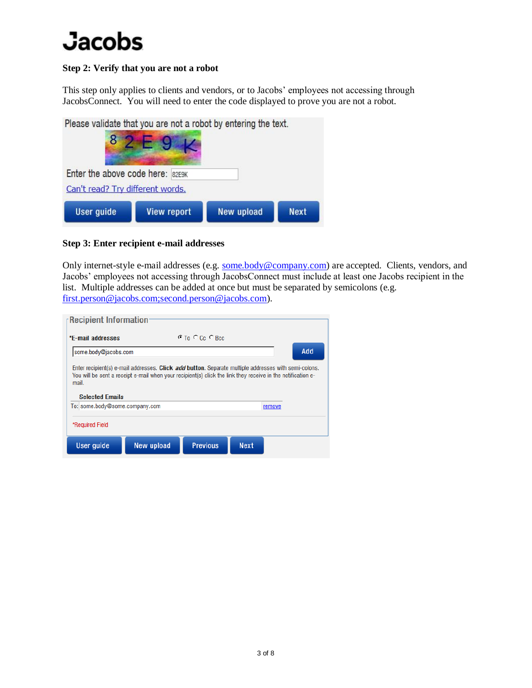#### **Step 2: Verify that you are not a robot**

This step only applies to clients and vendors, or to Jacobs' employees not accessing through JacobsConnect. You will need to enter the code displayed to prove you are not a robot.

Please validate that you are not a robot by entering the text.

| Enter the above code here: 82E9K<br>Can't read? Try different words. |                    |            |             |
|----------------------------------------------------------------------|--------------------|------------|-------------|
| <b>User guide</b>                                                    | <b>View report</b> | New upload | <b>Next</b> |

### **Step 3: Enter recipient e-mail addresses**

Only internet-style e-mail addresses (e.g. [some.body@company.com\)](mailto:some.body@company.com) are accepted. Clients, vendors, and Jacobs' employees not accessing through JacobsConnect must include at least one Jacobs recipient in the list. Multiple addresses can be added at once but must be separated by semicolons (e.g. [first.person@jacobs.com;second.person@jacobs.com\)](mailto:first.person@jacobs.com;second.person@jacobs.com).

| $\sqrt{\phantom{a}}$ Recipient Information                                                                                                                                                                                                             |            |                       |             |  |  |  |  |  |  |
|--------------------------------------------------------------------------------------------------------------------------------------------------------------------------------------------------------------------------------------------------------|------------|-----------------------|-------------|--|--|--|--|--|--|
| *F-mail addresses                                                                                                                                                                                                                                      |            | $C$ To $C$ Cc $C$ Bec |             |  |  |  |  |  |  |
| <b>Add</b><br>some.body@jacobs.com                                                                                                                                                                                                                     |            |                       |             |  |  |  |  |  |  |
| Enter recipient(s) e-mail addresses. Click add button. Separate multiple addresses with semi-colons.<br>You will be sent a receipt e-mail when your recipient(s) click the link they receive in the notification e-<br>mail.<br><b>Selected Emails</b> |            |                       |             |  |  |  |  |  |  |
| To: some.body@some.company.com<br>remove                                                                                                                                                                                                               |            |                       |             |  |  |  |  |  |  |
| *Required Field                                                                                                                                                                                                                                        |            |                       |             |  |  |  |  |  |  |
| User guide                                                                                                                                                                                                                                             | New upload | <b>Previous</b>       | <b>Next</b> |  |  |  |  |  |  |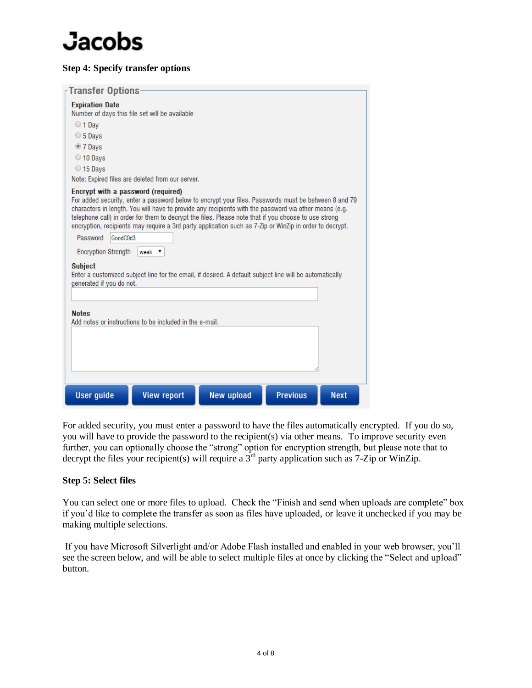#### **Step 4: Specify transfer options**

| $\mathsf \tau$ Transfer Options-                                                                                                                                                                                                                                                                                                                                                                                                                                                                                                                                                                  |                                                                                                         |                   |                 |             |  |  |  |  |
|---------------------------------------------------------------------------------------------------------------------------------------------------------------------------------------------------------------------------------------------------------------------------------------------------------------------------------------------------------------------------------------------------------------------------------------------------------------------------------------------------------------------------------------------------------------------------------------------------|---------------------------------------------------------------------------------------------------------|-------------------|-----------------|-------------|--|--|--|--|
| <b>Expiration Date</b><br>Number of days this file set will be available<br>$\bigcirc$ 1 Dav<br>$\circ$ 5 Days<br>$\bullet$ 7 Days<br>$\bigcirc$ 10 Days<br>$\bigcirc$ 15 Days<br>Note: Expired files are deleted from our server.<br>Encrypt with a password (required)<br>For added security, enter a password below to encrypt your files. Passwords must be between 8 and 79<br>characters in length. You will have to provide any recipients with the password via other means (e.g.<br>telephone call) in order for them to decrypt the files. Please note that if you choose to use strong |                                                                                                         |                   |                 |             |  |  |  |  |
|                                                                                                                                                                                                                                                                                                                                                                                                                                                                                                                                                                                                   | encryption, recipients may require a 3rd party application such as 7-Zip or WinZip in order to decrypt. |                   |                 |             |  |  |  |  |
| Password<br>GoodC0d3                                                                                                                                                                                                                                                                                                                                                                                                                                                                                                                                                                              |                                                                                                         |                   |                 |             |  |  |  |  |
| <b>Encryption Strength</b>                                                                                                                                                                                                                                                                                                                                                                                                                                                                                                                                                                        | weak $\mathbf v$                                                                                        |                   |                 |             |  |  |  |  |
| <b>Subject</b><br>Enter a customized subject line for the email, if desired. A default subject line will be automatically<br>generated if you do not.                                                                                                                                                                                                                                                                                                                                                                                                                                             |                                                                                                         |                   |                 |             |  |  |  |  |
|                                                                                                                                                                                                                                                                                                                                                                                                                                                                                                                                                                                                   |                                                                                                         |                   |                 |             |  |  |  |  |
| <b>Notes</b><br>Add notes or instructions to be included in the e-mail.                                                                                                                                                                                                                                                                                                                                                                                                                                                                                                                           |                                                                                                         |                   |                 |             |  |  |  |  |
| <b>User guide</b>                                                                                                                                                                                                                                                                                                                                                                                                                                                                                                                                                                                 | <b>View report</b>                                                                                      | <b>New upload</b> | <b>Previous</b> | <b>Next</b> |  |  |  |  |

For added security, you must enter a password to have the files automatically encrypted. If you do so, you will have to provide the password to the recipient(s) via other means. To improve security even further, you can optionally choose the "strong" option for encryption strength, but please note that to decrypt the files your recipient(s) will require a  $3<sup>rd</sup>$  party application such as 7-Zip or WinZip.

#### **Step 5: Select files**

You can select one or more files to upload. Check the "Finish and send when uploads are complete" box if you'd like to complete the transfer as soon as files have uploaded, or leave it unchecked if you may be making multiple selections.

If you have Microsoft Silverlight and/or Adobe Flash installed and enabled in your web browser, you'll see the screen below, and will be able to select multiple files at once by clicking the "Select and upload" button.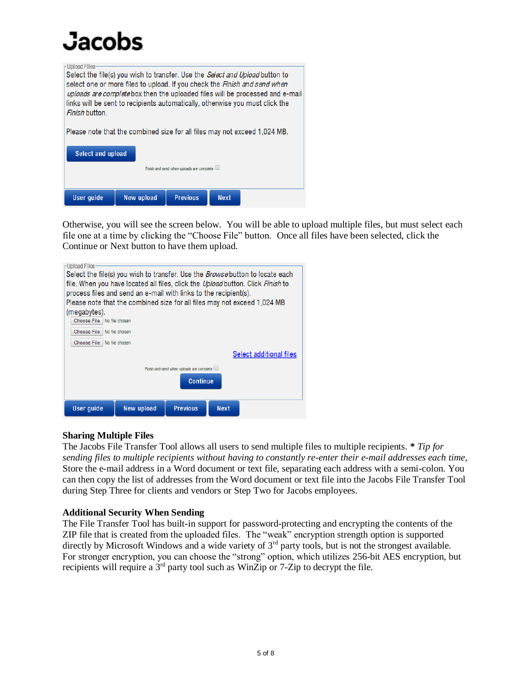I Inload Files Select the file(s) you wish to transfer. Use the Select and Upload button to select one or more files to upload. If you check the Finish and send when uploads are complete box then the uploaded files will be processed and e-mail links will be sent to recipients automatically, otherwise you must click the Finish button. Please note that the combined size for all files may not exceed 1,024 MB. Select and upload Finish and send when uploads are complete  $\Box$ User guide **New upload Previous Next** 

Otherwise, you will see the screen below. You will be able to upload multiple files, but must select each file one at a time by clicking the "Choose File" button. Once all files have been selected, click the Continue or Next button to have them upload.



### **Sharing Multiple Files**

The Jacobs File Transfer Tool allows all users to send multiple files to multiple recipients. **\*** *Tip for sending files to multiple recipients without having to constantly re-enter their e-mail addresses each time,* Store the e-mail address in a Word document or text file, separating each address with a semi-colon. You can then copy the list of addresses from the Word document or text file into the Jacobs File Transfer Tool during Step Three for clients and vendors or Step Two for Jacobs employees.

### **Additional Security When Sending**

The File Transfer Tool has built-in support for password-protecting and encrypting the contents of the ZIP file that is created from the uploaded files. The "weak" encryption strength option is supported directly by Microsoft Windows and a wide variety of 3<sup>rd</sup> party tools, but is not the strongest available. For stronger encryption, you can choose the "strong" option, which utilizes 256-bit AES encryption, but recipients will require a  $3<sup>rd</sup>$  party tool such as WinZip or 7-Zip to decrypt the file.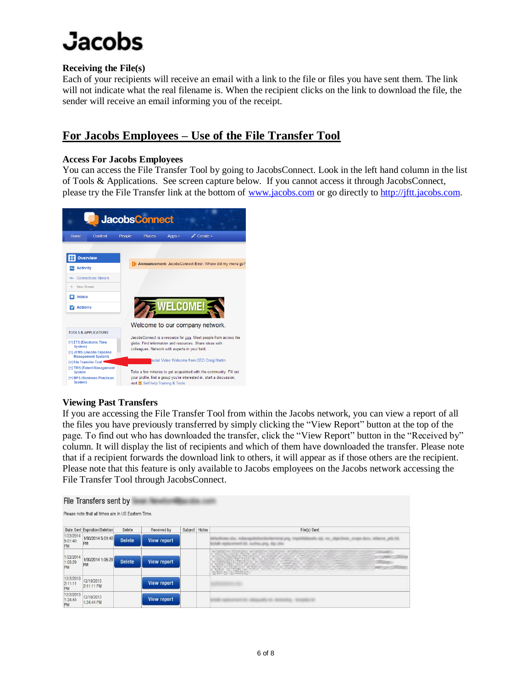### **Receiving the File(s)**

Each of your recipients will receive an email with a link to the file or files you have sent them. The link will not indicate what the real filename is. When the recipient clicks on the link to download the file, the sender will receive an email informing you of the receipt.

### **For Jacobs Employees – Use of the File Transfer Tool**

#### **Access For Jacobs Employees**

You can access the File Transfer Tool by going to JacobsConnect. Look in the left hand column in the list of Tools & Applications. See screen capture below. If you cannot access it through JacobsConnect, please try the File Transfer link at the bottom of [www.jacobs.com](http://www.jacobs.com/) or go directly to [http://jftt.jacobs.com.](http://jftt.jacobs.com/)



### **Viewing Past Transfers**

If you are accessing the File Transfer Tool from within the Jacobs network, you can view a report of all the files you have previously transferred by simply clicking the "View Report" button at the top of the page. To find out who has downloaded the transfer, click the "View Report" button in the "Received by" column. It will display the list of recipients and which of them have downloaded the transfer. Please note that if a recipient forwards the download link to others, it will appear as if those others are the recipient. Please note that this feature is only available to Jacobs employees on the Jacobs network accessing the File Transfer Tool through JacobsConnect.

| File Transfers sent by                             |                               |               |                    |               |  |                   |  |  |
|----------------------------------------------------|-------------------------------|---------------|--------------------|---------------|--|-------------------|--|--|
| Please note that all times are in US Eastern Time. |                               |               |                    |               |  |                   |  |  |
|                                                    | Date Sent Expiration/Deletion | Delete        | Received by        | Subject Notes |  | File(s) Sent      |  |  |
| 1/22/2014<br>5:01:40<br>PM                         | 1/30/2014 5:01:40<br>PM       | <b>Delete</b> | <b>View report</b> |               |  |                   |  |  |
| 1/22/2014<br>1:05:29<br>PM                         | 1/30/2014 1:05:29<br>PM       | <b>Delete</b> | View report        |               |  | <b>SERVANNARY</b> |  |  |
| 12/2/2013<br>2:11:11<br>PM                         | 12/10/2013<br>2:11:11 PM      |               | <b>View report</b> |               |  |                   |  |  |
| 12/2/2013<br>1:34:44<br>PM                         | 12/10/2013<br>1:34:44 PM      |               | <b>View report</b> |               |  |                   |  |  |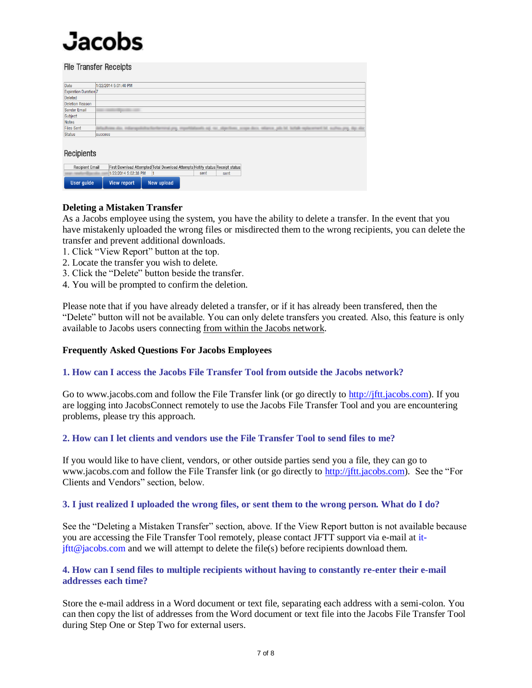| <b>File Transfer Receipts</b> |                |                      |                                                                               |      |  |      |  |  |  |  |
|-------------------------------|----------------|----------------------|-------------------------------------------------------------------------------|------|--|------|--|--|--|--|
| Date                          |                | 1/22/2014 5:01:40 PM |                                                                               |      |  |      |  |  |  |  |
| <b>Expiration Duration</b> 7  |                |                      |                                                                               |      |  |      |  |  |  |  |
| Deleted                       |                |                      |                                                                               |      |  |      |  |  |  |  |
| <b>Deletion Reason</b>        |                |                      |                                                                               |      |  |      |  |  |  |  |
| <b>Sender Email</b>           |                |                      |                                                                               |      |  |      |  |  |  |  |
| Subject                       |                |                      |                                                                               |      |  |      |  |  |  |  |
| <b>Notes</b>                  |                |                      |                                                                               |      |  |      |  |  |  |  |
| <b>Files Sent</b>             |                | state and            | <b>E.PTG. 171</b>                                                             |      |  |      |  |  |  |  |
| <b>Status</b>                 | <b>SUCCESS</b> |                      |                                                                               |      |  |      |  |  |  |  |
| Recipients                    |                |                      |                                                                               |      |  |      |  |  |  |  |
| <b>Recipient Email</b>        |                |                      | First Download Attempted Total Download Attempts Notify status Receipt status |      |  |      |  |  |  |  |
|                               |                | 1/22/2014 5:02:38 PM | l1                                                                            | sent |  | sent |  |  |  |  |
| User guide                    |                | <b>View report</b>   | New upload                                                                    |      |  |      |  |  |  |  |

#### **Deleting a Mistaken Transfer**

As a Jacobs employee using the system, you have the ability to delete a transfer. In the event that you have mistakenly uploaded the wrong files or misdirected them to the wrong recipients, you can delete the transfer and prevent additional downloads.

- 1. Click "View Report" button at the top.
- 2. Locate the transfer you wish to delete.
- 3. Click the "Delete" button beside the transfer.
- 4. You will be prompted to confirm the deletion.

Please note that if you have already deleted a transfer, or if it has already been transfered, then the "Delete" button will not be available. You can only delete transfers you created. Also, this feature is only available to Jacobs users connecting from within the Jacobs network.

#### **Frequently Asked Questions For Jacobs Employees**

#### **1. How can I access the Jacobs File Transfer Tool from outside the Jacobs network?**

Go to www.jacobs.com and follow the File Transfer link (or go directly to [http://jftt.jacobs.com\)](http://jftt.jacobs.com/). If you are logging into JacobsConnect remotely to use the Jacobs File Transfer Tool and you are encountering problems, please try this approach.

#### **2. How can I let clients and vendors use the File Transfer Tool to send files to me?**

If you would like to have client, vendors, or other outside parties send you a file, they can go to www.jacobs.com and follow the File Transfer link (or go directly to [http://jftt.jacobs.com\)](http://jftt.jacobs.com/). See the "For Clients and Vendors" section, below.

#### **3. I just realized I uploaded the wrong files, or sent them to the wrong person. What do I do?**

See the "Deleting a Mistaken Transfer" section, above. If the View Report button is not available because you are accessing the File Transfer Tool remotely, please contact JFTT support via e-mail at it- $\text{if}$ tt $\omega$  jacobs.com and we will attempt to delete the file(s) before recipients download them.

#### **4. How can I send files to multiple recipients without having to constantly re-enter their e-mail addresses each time?**

Store the e-mail address in a Word document or text file, separating each address with a semi-colon. You can then copy the list of addresses from the Word document or text file into the Jacobs File Transfer Tool during Step One or Step Two for external users.